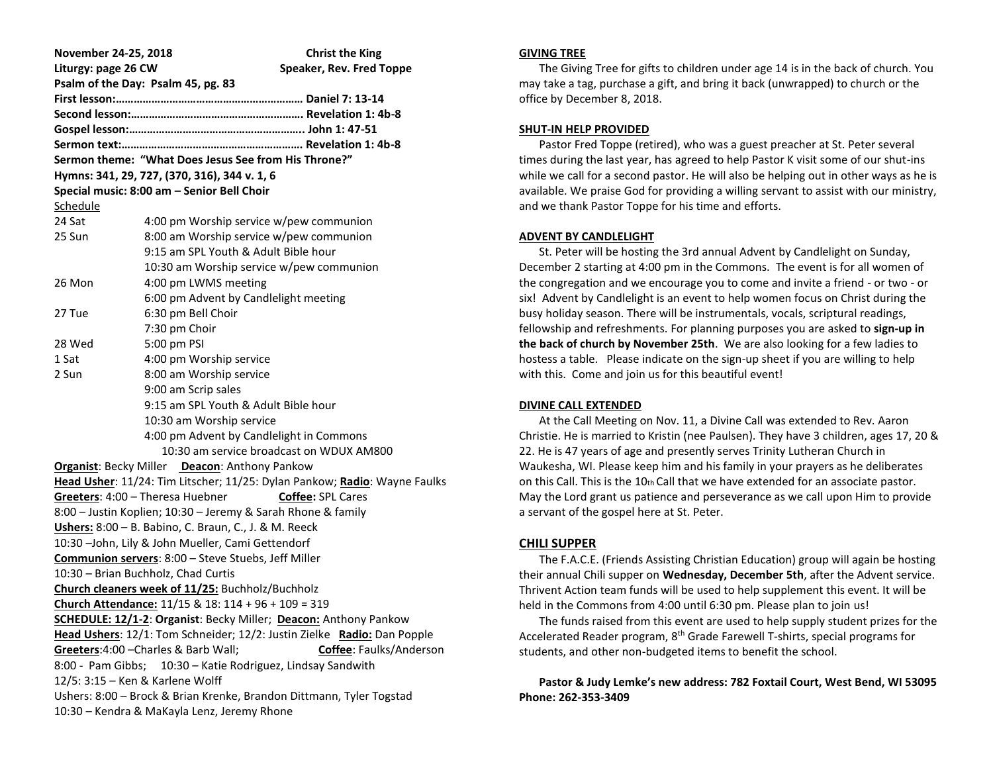| November 24-25, 2018                                                      |                                                                | <b>Christ the King</b>                   |
|---------------------------------------------------------------------------|----------------------------------------------------------------|------------------------------------------|
| Liturgy: page 26 CW                                                       |                                                                | Speaker, Rev. Fred Toppe                 |
| Psalm of the Day: Psalm 45, pg. 83                                        |                                                                |                                          |
|                                                                           |                                                                |                                          |
|                                                                           |                                                                |                                          |
|                                                                           |                                                                |                                          |
|                                                                           |                                                                |                                          |
| Sermon theme: "What Does Jesus See from His Throne?"                      |                                                                |                                          |
| Hymns: 341, 29, 727, (370, 316), 344 v. 1, 6                              |                                                                |                                          |
|                                                                           | Special music: 8:00 am - Senior Bell Choir                     |                                          |
| Schedule                                                                  |                                                                |                                          |
| 24 Sat                                                                    |                                                                | 4:00 pm Worship service w/pew communion  |
| 25 Sun                                                                    |                                                                | 8:00 am Worship service w/pew communion  |
|                                                                           | 9:15 am SPL Youth & Adult Bible hour                           |                                          |
|                                                                           |                                                                | 10:30 am Worship service w/pew communion |
| 26 Mon                                                                    | 4:00 pm LWMS meeting                                           |                                          |
|                                                                           | 6:00 pm Advent by Candlelight meeting                          |                                          |
| 27 Tue                                                                    | 6:30 pm Bell Choir                                             |                                          |
|                                                                           | 7:30 pm Choir                                                  |                                          |
| 28 Wed                                                                    | 5:00 pm PSI                                                    |                                          |
| 1 Sat                                                                     | 4:00 pm Worship service                                        |                                          |
| 2 Sun                                                                     | 8:00 am Worship service                                        |                                          |
|                                                                           | 9:00 am Scrip sales                                            |                                          |
|                                                                           | 9:15 am SPL Youth & Adult Bible hour                           |                                          |
|                                                                           | 10:30 am Worship service                                       |                                          |
|                                                                           | 4:00 pm Advent by Candlelight in Commons                       |                                          |
|                                                                           |                                                                | 10:30 am service broadcast on WDUX AM800 |
| <b>Organist: Becky Miller</b> Deacon: Anthony Pankow                      |                                                                |                                          |
| Head Usher: 11/24: Tim Litscher; 11/25: Dylan Pankow; Radio: Wayne Faulks |                                                                |                                          |
| Greeters: 4:00 - Theresa Huebner<br><b>Coffee: SPL Cares</b>              |                                                                |                                          |
| 8:00 - Justin Koplien; 10:30 - Jeremy & Sarah Rhone & family              |                                                                |                                          |
| Ushers: 8:00 - B. Babino, C. Braun, C., J. & M. Reeck                     |                                                                |                                          |
| 10:30 -John, Lily & John Mueller, Cami Gettendorf                         |                                                                |                                          |
|                                                                           | Communion servers: 8:00 - Steve Stuebs, Jeff Miller            |                                          |
| 10:30 - Brian Buchholz, Chad Curtis                                       |                                                                |                                          |
| Church cleaners week of 11/25: Buchholz/Buchholz                          |                                                                |                                          |
|                                                                           | <b>Church Attendance:</b> $11/15$ & $18: 114 + 96 + 109 = 319$ |                                          |
| <b>SCHEDULE: 12/1-2: Organist: Becky Miller; Deacon: Anthony Pankow</b>   |                                                                |                                          |
| Head Ushers: 12/1: Tom Schneider; 12/2: Justin Zielke Radio: Dan Popple   |                                                                |                                          |
| Greeters: 4:00 - Charles & Barb Wall;<br><b>Coffee: Faulks/Anderson</b>   |                                                                |                                          |
| 8:00 - Pam Gibbs;<br>10:30 - Katie Rodriguez, Lindsay Sandwith            |                                                                |                                          |
| 12/5: 3:15 - Ken & Karlene Wolff                                          |                                                                |                                          |
| Ushers: 8:00 - Brock & Brian Krenke, Brandon Dittmann, Tyler Togstad      |                                                                |                                          |
| 10:30 - Kendra & MaKayla Lenz, Jeremy Rhone                               |                                                                |                                          |

### **GIVING TREE**

 The Giving Tree for gifts to children under age 14 is in the back of church. You may take a tag, purchase a gift, and bring it back (unwrapped) to church or the office by December 8, 2018.

## **SHUT-IN HELP PROVIDED**

 Pastor Fred Toppe (retired), who was a guest preacher at St. Peter several times during the last year, has agreed to help Pastor K visit some of our shut-ins while we call for a second pastor. He will also be helping out in other ways as he is available. We praise God for providing a willing servant to assist with our ministry, and we thank Pastor Toppe for his time and efforts.

## **ADVENT BY CANDLELIGHT**

 St. Peter will be hosting the 3rd annual Advent by Candlelight on Sunday, December 2 starting at 4:00 pm in the Commons. The event is for all women of the congregation and we encourage you to come and invite a friend - or two - or six! Advent by Candlelight is an event to help women focus on Christ during the busy holiday season. There will be instrumentals, vocals, scriptural readings, fellowship and refreshments. For planning purposes you are asked to **sign-up in the back of church by November 25th**. We are also looking for a few ladies to hostess a table. Please indicate on the sign-up sheet if you are willing to help with this. Come and join us for this beautiful event!

## **DIVINE CALL EXTENDED**

 At the Call Meeting on Nov. 11, a Divine Call was extended to Rev. Aaron Christie. He is married to Kristin (nee Paulsen). They have 3 children, ages 17, 20 & 22. He is 47 years of age and presently serves Trinity Lutheran Church in Waukesha, WI. Please keep him and his family in your prayers as he deliberates on this Call. This is the  $10<sub>th</sub>$  Call that we have extended for an associate pastor. May the Lord grant us patience and perseverance as we call upon Him to provide a servant of the gospel here at St. Peter.

# **CHILI SUPPER**

 The F.A.C.E. (Friends Assisting Christian Education) group will again be hosting their annual Chili supper on **Wednesday, December 5th**, after the Advent service. Thrivent Action team funds will be used to help supplement this event. It will be held in the Commons from 4:00 until 6:30 pm. Please plan to join us!

 The funds raised from this event are used to help supply student prizes for the Accelerated Reader program, 8th Grade Farewell T-shirts, special programs for students, and other non-budgeted items to benefit the school.

 **Pastor & Judy Lemke's new address: 782 Foxtail Court, West Bend, WI 53095 Phone: 262-353-3409**